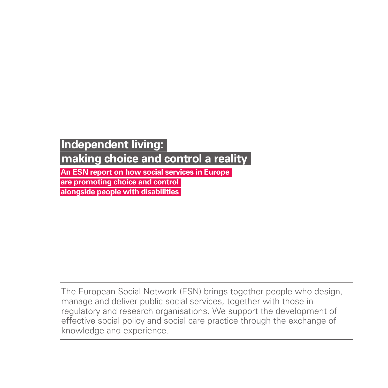# **Independent living:**

**making choice and control a reality**

**An ESN report on how social services in Europe** 

**are promoting choice and control**

**alongside people with disabilities**

The European Social Network (ESN) brings together people who design, manage and deliver public social services, together with those in regulatory and research organisations. We support the development of effective social policy and social care practice through the exchange of knowledge and experience.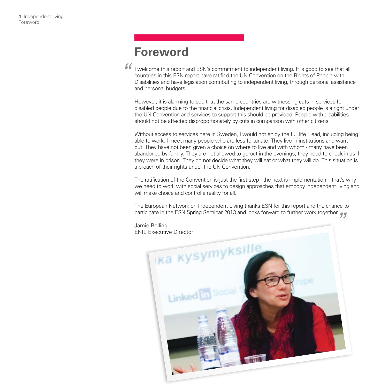## **Foreword**

I welcome this report and ESN's commitment to independent living. It is good to see that all countries in this ESN report have ratified the UN Convention on the Rights of People with Disabilities and have legislation contributing to independent living, through personal assistance and personal budgets. *"*

However, it is alarming to see that the same countries are witnessing cuts in services for disabled people due to the financial crisis. Independent living for disabled people is a right under the UN Convention and services to support this should be provided. People with disabilities should not be affected disproportionately by cuts in comparison with other citizens.

Without access to services here in Sweden, I would not enjoy the full life I lead, including being able to work. I meet many people who are less fortunate. They live in institutions and want out. They have not been given a choice on where to live and with whom - many have been abandoned by family. They are not allowed to go out in the evenings; they need to check in as if they were in prison. They do not decide what they will eat or what they will do. This situation is a breach of their rights under the UN Convention.

The ratification of the Convention is just the first step - the next is implementation – that's why we need to work with social services to design approaches that embody independent living and will make choice and control a reality for all.

The European Network on Independent Living thanks ESN for this report and the chance to participate in the ESN Spring Seminar 2013 and looks forward to further work together.<br>
Jamie Bolling<br>
ENIL Executive Director

Jamie Bolling ENIL Executive Director

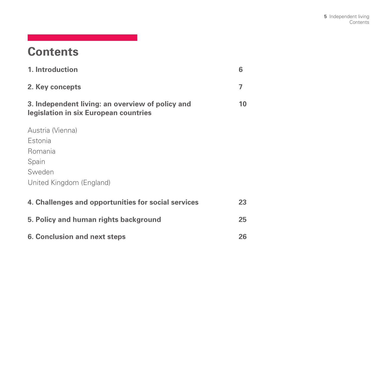# **Contents**

| 1. Introduction                                                                           | 6  |  |  |  |  |
|-------------------------------------------------------------------------------------------|----|--|--|--|--|
| 2. Key concepts                                                                           | 7  |  |  |  |  |
| 3. Independent living: an overview of policy and<br>legislation in six European countries | 10 |  |  |  |  |
| Austria (Vienna)                                                                          |    |  |  |  |  |
| Estonia                                                                                   |    |  |  |  |  |
| Romania                                                                                   |    |  |  |  |  |
| Spain                                                                                     |    |  |  |  |  |
| Sweden                                                                                    |    |  |  |  |  |
| United Kingdom (England)                                                                  |    |  |  |  |  |
| 4. Challenges and opportunities for social services                                       | 23 |  |  |  |  |
| 5. Policy and human rights background                                                     |    |  |  |  |  |
| <b>6. Conclusion and next steps</b>                                                       |    |  |  |  |  |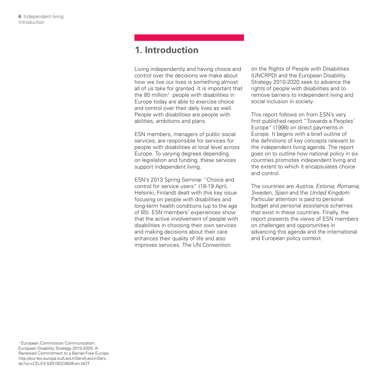### **1. Introduction**

Living independently and having choice and control over the decisions we make about how we live our lives is something almost all of us take for granted. It is important that the 80 million<sup>1</sup> people with disabilities in Europe today are able to exercise choice and control over their daily lives as well. People with disabilities are people with abilities, ambitions and plans.

ESN members, managers of public social services, are responsible for services for people with disabilities at local level across Europe. To varying degrees depending on legislation and funding, these services support independent living.

ESN's 2013 Spring Seminar "Choice and control for service users" (18-19 April, Helsinki, Finland) dealt with this key issue focusing on people with disabilities and long-term health conditions (up to the age of 65). ESN members' experiences show that the active involvement of people with disabilities in choosing their own services and making decisions about their care enhances their quality of life and also improves services. The UN Convention

on the Rights of People with Disabilities (UNCRPD) and the European Disability Strategy 2010-2020 seek to advance the rights of people with disabilities and to remove barriers to independent living and social inclusion in society.

This report follows on from ESN's very first published report "Towards a Peoples' Europe" (1998) on direct payments in Europe. It begins with a brief outline of the definitions of key concepts relevant to the independent living agenda. The report goes on to outline how national policy in six countries promotes independent living and the extent to which it encapsulates choice and control.

The countries are *Austria, Estonia, Romania, Sweden, Spain* and the *United Kingdom.*  Particular attention is paid to personal budget and personal assistance schemes that exist in these countries. Finally, the report presents the views of ESN members on challenges and opportunities in advancing this agenda and the international and European policy context.

1 European Commission Communication: European Disability Strategy 2010-2020: A Renewed Commitment to a Barrier-Free Europe. http://eur-lex.europa.eu/LexUriServ/LexUriServ. do?uri=CELEX:52010DC0636:en:NOT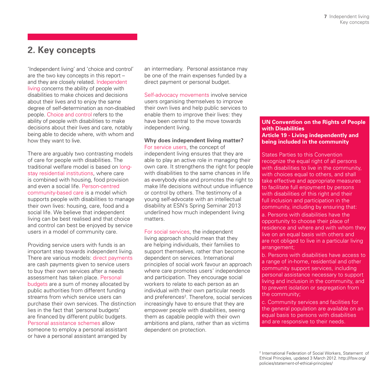### **2. Key concepts**

'Independent living' and 'choice and control' are the two key concepts in this report – and they are closely related. Independent living concerns the ability of people with disabilities to make choices and decisions about their lives and to enjoy the same degree of self-determination as non-disabled people. Choice and control refers to the ability of people with disabilities to make decisions about their lives and care, notably being able to decide where, with whom and how they want to live.

There are arguably two contrasting models of care for people with disabilities. The traditional welfare model is based on longstay residential institutions, where care is combined with housing, food provision and even a social life. Person-centred community-based care is a model which supports people with disabilities to manage their own lives: housing, care, food and a social life. We believe that independent living can be best realised and that choice and control can best be enjoyed by service users in a model of community care.

Providing service users with funds is an important step towards independent living. There are various models: direct payments are cash payments given to service users to buy their own services after a needs assessment has taken place. Personal budgets are a sum of money allocated by public authorities from different funding streams from which service users can purchase their own services. The distinction lies in the fact that 'personal budgets' are financed by different public budgets. Personal assistance schemes allow someone to employ a personal assistant or have a personal assistant arranged by

an intermediary. Personal assistance may be one of the main expenses funded by a direct payment or personal budget.

Self-advocacy movements involve service users organising themselves to improve their own lives and help public services to enable them to improve their lives: they have been central to the move towards independent living.

#### **Why does independent living matter?** For service users, the concept of

independent living ensures that they are able to play an active role in managing their own care. It strengthens the right for people with disabilities to the same chances in life as everybody else and promotes the right to make life decisions without undue influence or control by others. The testimony of a young self-advocate with an intellectual disability at ESN's Spring Seminar 2013 underlined how much independent living matters.

For social services, the independent living approach should mean that they are helping individuals, their families to support themselves, rather than become dependent on services. International principles of social work favour an approach where care promotes users' independence and participation. They encourage social workers to relate to each person as an individual with their own particular needs and preferences<sup>2</sup>. Therefore, social services increasingly have to ensure that they are empower people with disabilities, seeing them as capable people with their own ambitions and plans, rather than as victims dependent on protection.

### **UN Convention on the Rights of People with Disabilities Article 19 - Living independently and being included in the community**

States Parties to this Convention recognize the equal right of all persons with disabilities to live in the community. with choices equal to others, and shall take effective and appropriate measures to facilitate full enjoyment by persons with disabilities of this right and their full inclusion and participation in the community, including by ensuring that:

a. Persons with disabilities have the opportunity to choose their place of residence and where and with whom they live on an equal basis with others and are not obliged to live in a particular living arrangement;

b. Persons with disabilities have access to a range of in-home, residential and other community support services, including personal assistance necessary to support living and inclusion in the community, and to prevent isolation or segregation from the community;

c. Community services and facilities for the general population are available on an equal basis to persons with disabilities and are responsive to their needs.

<sup>2</sup> International Federation of Social Workers, Statement of Ethical Principles, updated 3 March 2012. http://ifsw.org/ policies/statement-of-ethical-principles/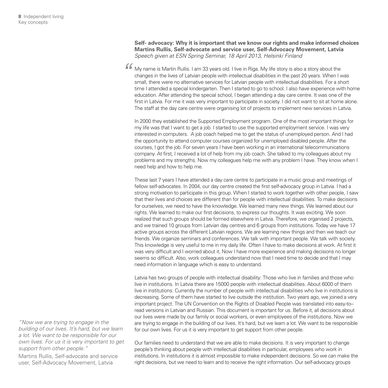**Self- advocacy: Why it is important that we know our rights and make informed choices Martins Rullis, Self-advocate and service user, Self-Advocacy Movement, Latvia**  *Speech given at ESN Spring Seminar, 18 April 2013, Helsinki Finland*

My name is Martin Rullis. I am 33 years old. I live in Riga. My life story is also a story about the changes in the lives of Latvian people with intellectual disabilities in the past 20 years. When I was small, there were no alternative services for Latvian people with intellectual disabilities. For a short time I attended a special kindergarten. Then I started to go to school. I also have experience with home education. After attending the special school, I began attending a day care centre. It was one of the first in Latvia. For me it was very important to participate in society. I did not want to sit at home alone. The staff at the day care centre were organising lot of projects to implement new services in Latvia. *"*

In 2000 they established the Supported Employment program. One of the most important things for my life was that I want to get a job. I started to use the supported employment service. I was very interested in computers. A job coach helped me to get the status of unemployed person. And I had the opportunity to attend computer courses organized for unemployed disabled people. After the courses, I got the job. For seven years I have been working in an international telecommunications company. At first, I received a lot of help from my job coach. She talked to my colleagues about my problems and my strengths. Now my colleagues help me with any problem I have. They know when I need help and how to help me.

These last 7 years I have attended a day care centre to participate in a music group and meetings of fellow self-advocates. In 2004, our day centre created the first self-advocacy group in Latvia. I had a strong motivation to participate in this group. When I started to work together with other people, I saw that their lives and choices are different than for people with intellectual disabilities. To make decisions for ourselves, we need to have the knowledge. We learned many new things. We learned about our rights. We learned to make our first decisions, to express our thoughts. It was exciting. We soon realized that such groups should be formed elsewhere in Latvia. Therefore, we organised 2 projects, and we trained 10 groups from Latvian day centres and 6 groups from institutions. Today we have 17 active groups across the different Latvian regions. We are learning new things and then we teach our friends. We organize seminars and conferences. We talk with important people. We talk with society. This knowledge is very useful to me in my daily life. Often I have to make decisions at work. At first it was very difficult and I worried about it. Now I have more experience and making decisions no longer seems so difficult. Also, work colleagues understand now that I need time to decide and that I may need information in language which is easy to understand.

Latvia has two groups of people with intellectual disability: Those who live in families and those who live in institutions. In Latvia there are 15000 people with intellectual disabilities. About 6000 of them live in institutions. Currently the number of people with intellectual disabilities who live in institutions is decreasing. Some of them have started to live outside the institution. Two years ago, we joined a very important project. The UN Convention on the Rights of Disabled People was translated into easy-to– read versions in Latvian and Russian. This document is important for us. Before it, all decisions about our lives were made by our family or social workers, or even employees of the institutions. Now we are trying to engage in the building of our lives. It's hard, but we learn a lot. We want to be responsible for our own lives. For us it is very important to get support from other people.

*"Now we are trying to engage in the building of our lives. It's hard, but we learn a lot. We want to be responsible for our own lives. For us it is very important to get support from other people."*

Martins Rullis, Self-advocate and service user, Self-Advocacy Movement, Latvia

Our families need to understand that we are able to make decisions. It is very important to change people's thinking about people with intellectual disabilities in particular, employees who work in institutions. In institutions it is almost impossible to make independent decisions. So we can make the right decisions, but we need to learn and to receive the right information. Our self-advocacy groups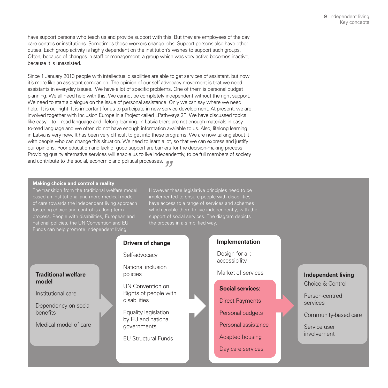have support persons who teach us and provide support with this. But they are employees of the day care centres or institutions. Sometimes these workers change jobs. Support persons also have other duties. Each group activity is highly dependent on the institution's wishes to support such groups. Often, because of changes in staff or management, a group which was very active becomes inactive, because it is unassisted.

Since 1 January 2013 people with intellectual disabilities are able to get services of assistant, but now it's more like an assistant-companion. The opinion of our self-advocacy movement is that we need assistants in everyday issues. We have a lot of specific problems. One of them is personal budget planning. We all need help with this. We cannot be completely independent without the right support. We need to start a dialogue on the issue of personal assistance. Only we can say where we need help. It is our right. It is important for us to participate in new service development. At present, we are involved together with Inclusion Europe in a Project called . Pathways 2". We have discussed topics like easy – to – read language and lifelong learning. In Latvia there are not enough materials in easyto-read language and we often do not have enough information available to us. Also, lifelong learning in Latvia is very new. It has been very difficult to get into these programs. We are now talking about it with people who can change this situation. We need to learn a lot, so that we can express and justify our opinions. Poor education and lack of good support are barriers for the decision-making process. Providing quality alternative services will enable us to live independently, to be full members of society and contribute to the social, economic and political processes.

#### **Making choice and control a reality**

The transition from the traditional welfare model based an institutional and more medical model of care towards the independent living approach fostering choice and control is a long-term process. People with disabilities, European and national policies, the UN Convention and EU

However these legislative principles need to be have access to a range of services and schemes which enable them to live independently, with the support of social services. The diagram depicts the process in a simplified way.

### **Drivers of change**

#### Self-advocacy

National inclusion policies

UN Convention on Rights of people with disabilities

Equality legislation by EU and national governments

EU Structural Funds

### **Implementation**

Design for all: accessibility

Market of services

### **Social services:**

Direct Payments

Personal budgets

Personal assistance

Adapted housing

Day care services

### **Independent living**

Choice & Control

Person-centred services

Community-based care

Service user involvement

### **Traditional welfare model**

Institutional care

Dependency on social benefits

Medical model of care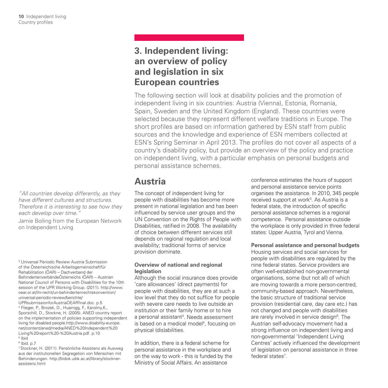*"All countries develop differently, as they have different cultures and structures. Therefore it is interesting to see how they each develop over time."*

Jamie Bolling from the European Network on Independent Living

3 Universal Periodic Review Austria Submission of the Österreichische Arbeitsgemeinschaftfür Rehabilitation (ÖAR) – Dachverband der BehindertenverbändeÖsterreichs (ÖAR) – Austrian National Council of Persons with Disabilities for the 10th session of the UPR Working Group. (2011). http://www. oear.or.at/ihr-recht/un-behindertenrechtskonvention/ universal-periodic-review/berichte/ UPRsubmissionforAustriaOEARfinal.doc. p.5 4 Flieger, P., Brozek, D., Huainigg, F., Karoliny,K., Sporschill, D., Stockne, H. (2005). ANED country report on the implementation of policies supporting independent living for disabled people.http://www.disability-europe. net/content/aned/media/ANED%20Independent%20 Living%20report%20-%20Austria.pdf. p.10 5 Ibid

6 Ibid. p.7

7 Stockner, H. (2011). Persönliche Assistenz als Ausweg aus der institutionellen Segregation von Menschen mit Behinderungen. http://bidok.uibk.ac.at/library/stocknerassistenz.html

### **3. Independent living: an overview of policy and legislation in six European countries**

The following section will look at disability policies and the promotion of independent living in six countries: Austria (Vienna), Estonia, Romania, Spain, Sweden and the United Kingdom (England). These countries were selected because they represent different welfare traditions in Europe. The short profiles are based on information gathered by ESN staff from public sources and the knowledge and experience of ESN members collected at ESN's Spring Seminar in April 2013. The profiles do not cover all aspects of a country's disability policy, but provide an overview of the policy and practice on independent living, with a particular emphasis on personal budgets and personal assistance schemes.

### **Austria**

The concept of independent living for people with disabilities has become more present in national legislation and has been influenced by service user groups and the UN Convention on the Rights of People with Disabilities, ratified in 2008. The availability of choice between different services still depends on regional regulation and local availability; traditional forms of service provision dominate.

### **Overview of national and regional legislation**

Although the social insurance does provide 'care allowances' (direct payments) for people with disabilities, they are at such a low level that they do not suffice for people with severe care needs to live outside an institution or their family home or to hire a personal assistant<sup>3</sup>. Needs assessment is based on a medical model<sup>4</sup>, focusing on physical (dis)abilities.

In addition, there is a federal scheme for personal assistance in the workplace and on the way to work - this is funded by the Ministry of Social Affairs. An assistance

conference estimates the hours of support and personal assistance service points organises the assistance. In 2010, 345 people received support at work<sup>5</sup>. As Austria is a federal state, the introduction of specific personal assistance schemes is a regional competence. Personal assistance outside the workplace is only provided in three federal states: Upper Austria, Tyrol and Vienna.

**Personal assistance and personal budgets**

Housing services and social services for people with disabilities are regulated by the nine federal states. Service providers are often well-established non-governmental organisations, some (but not all) of which are moving towards a more person-centred, community-based approach. Nevertheless, the basic structure of traditional service provision (residential care, day care etc.) has not changed and people with disabilities are rarely involved in service design<sup>6</sup>. The Austrian self-advocacy movement had a strong influence on independent living and non-governmental 'Independent Living Centres' actively influenced the development of legislation on personal assistance in three federal states<sup>7</sup>.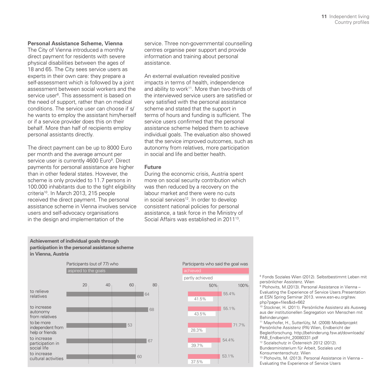#### **Personal Assistance Scheme, Vienna**

The City of Vienna introduced a monthly direct payment for residents with severe physical disabilities between the ages of 18 and 65. The City sees service users as experts in their own care: they prepare a self-assessment which is followed by a joint assessment between social workers and the service user $^{\mathrm{s}}$ . This assessment is based on the need of support, rather than on medical conditions. The service user can choose if s/ he wants to employ the assistant him/herself or if a service provider does this on their behalf. More than half of recipients employ personal assistants directly.

The direct payment can be up to 8000 Euro per month and the average amount per service user is currently 4600 Euro<sup>9</sup>. Direct payments for personal assistance are higher than in other federal states. However, the scheme is only provided to 11.7 persons in 100.000 inhabitants due to the tight eligibility criteria10. In March 2013, 215 people received the direct payment. The personal assistance scheme in Vienna involves service users and self-advocacy organisations in the design and implementation of the

service. Three non-governmental counselling centres organise peer support and provide information and training about personal assistance.

An external evaluation revealed positive impacts in terms of health, independence and ability to work<sup>11</sup>. More than two-thirds of the interviewed service users are satisfied or very satisfied with the personal assistance scheme and stated that the support in terms of hours and funding is sufficient. The service users confirmed that the personal assistance scheme helped them to achieve individual goals. The evaluation also showed that the service improved outcomes, such as autonomy from relatives, more participation in social and life and better health.

#### **Future**

During the economic crisis, Austria spent more on social security contribution which was then reduced by a recovery on the labour market and there were no cuts in social services<sup>12</sup>. In order to develop consistent national policies for personal assistance, a task force in the Ministry of Social Affairs was established in 2011<sup>13</sup>.







71.7%

54.4%

53.1%

43.5%

28.3%

39.7%

37.5%

8 Fonds Soziales Wien (2012). Selbstbestimmt Leben mit persönlicher Assistenz. Wien

9 Plohovits, M.(2013). Personal Assistance in Vienna – Evaluating the Experience of Service Users.Presentation at ESN Spring Seminar 2013. www.esn-eu.org/raw. php?page=files&id=662

10 Stockner, H. (2011). Persönliche Assistenz als Ausweg aus der institutionellen Segregation von Menschen mit Behinderungen

11 Mayrhofer, H., Sutterlüty, M. (2008) Modellprojekt Persönliche Assistenz (PA) Wien, Endbericht der Begleitforschung. http://behinderung.fsw.at/downloads/ PAB\_Endbericht\_20080331.pdf

12 Sozialschutz in Österreich 2012 (2012). Bundesministerium für Arbeit, Soziales und

Konsumentenschutz. Wien

13 Plohovits, M. (2013). Personal Assistance in Vienna – Evaluating the Experience of Service Users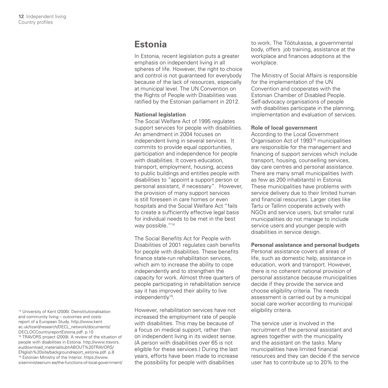### **Estonia**

In Estonia, recent legislation puts a greater emphasis on independent living in all spheres of life. However, the right to choice and control is not guaranteed for everybody because of the lack of resources, especially at municipal level. The UN Convention on the Rights of People with Disabilities was ratified by the Estonian parliament in 2012.

### **National legislation**

The Social Welfare Act of 1995 regulates support services for people with disabilities. An amendment in 2004 focuses on independent living in several services. It commits to provide equal opportunities, participation and independence for people with disabilities. It covers education, transport, employment, housing, access to public buildings and entitles people with disabilities to "appoint a support person or personal assistant, if necessary". However, the provision of many support services is still foreseen in care homes or even hospitals and the Social Welfare Act "fails to create a sufficiently effective legal basis for individual needs to be met in the best way possible. "<sup>14</sup>

The Social Benefits Act for People with Disabilities of 2001 regulates cash benefits for people with disabilities. These benefits finance state-run rehabilitation services, which aim to increase the ability to cope independently and to strengthen the capacity for work. Almost three quarters of people participating in rehabilitation service say it has improved their ability to live independently<sup>15</sup>.

However, rehabilitation services have not increased the employment rate of people with disabilities. This may be because of a focus on medical support, rather than on independent living in its widest sense. (A person with disabilities over 65 is not eligible for these services.) During the last years, efforts have been made to increase the possibility for people with disabilities

to work. The Töötukassa, a governmental body, offers job training, assistance at the workplace and finances adoptions at the workplace.

The Ministry of Social Affairs is responsible for the implementation of the UN Convention and cooperates with the Estonian Chamber of Disabled People. Self-advocacy organisations of people with disabilities participate in the planning. implementation and evaluation of services.

#### **Role of local government**

According to the Local Government Organisation Act of 199316 municipalities are responsible for the management and financing of support services which include transport, housing, counselling services, day care centres and personal assistance. There are many small municipalities (with as few as 200 inhabitants) in Estonia. These municipalities have problems with service delivery due to their limited human and financial resources. Larger cities like Tartu or Tallinn cooperate actively with NGOs and service users, but smaller rural municipalities do not manage to include service users and younger people with disabilities in service design.

**Personal assistance and personal budgets**

Personal assistance covers all areas of life, such as domestic help, assistance in education, work and transport. However, there is no coherent national provision of personal assistance because municipalities decide if they provide the service and choose eligibility criteria. The needs assessment is carried out by a municipal social care worker according to municipal eligibility criteria.

The service user is involved in the recruitment of the personal assistant and agrees together with the municipality and the assistant on the tasks. Many municipalities have limited financial resources and they can decide if the service user has to contribute up to 20% to the

<sup>14</sup> University of Kent (2006). Deinstitutionalisation and community living – outcomes and costs: report of a European Study. http://www.kent. ac.uk/tizard/research/DECL\_network/documents/ DECLOCCountryreportEstonia.pdf. p.10 <sup>15</sup> TRAVORS project (2009). A review of the situation of people with disabilities in Estonia. http://www.travors. eu/download\_material/subhABOUT%20TRAVORS/ ENglish%20site/backgroundreport\_estonia.pdf. p.8 16 Estonian Ministry of the Interior. https://www. siseministeerium.ee/the-functions-of-local-government/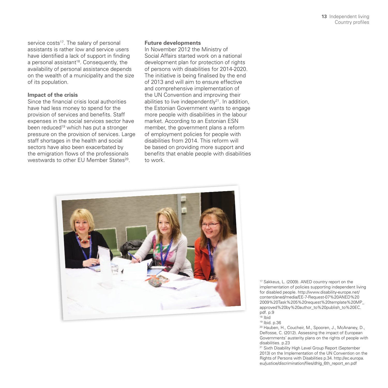service costs<sup>17</sup>. The salary of personal assistants is rather low and service users have identified a lack of support in finding a personal assistant<sup>18</sup>. Consequently, the availability of personal assistance depends on the wealth of a municipality and the size of its population.

### **Impact of the crisis**

Since the financial crisis local authorities have had less money to spend for the provision of services and benefits. Staff expenses in the social services sector have been reduced<sup>19</sup> which has put a stronger pressure on the provision of services. Large staff shortages in the health and social sectors have also been exacerbated by the emigration flows of the professionals westwards to other EU Member States<sup>20</sup>.

#### **Future developments**

In November 2012 the Ministry of Social Affairs started work on a national development plan for protection of rights of persons with disabilities for 2014-2020. The initiative is being finalised by the end of 2013 and will aim to ensure effective and comprehensive implementation of the UN Convention and improving their abilities to live independently $2<sup>1</sup>$ . In addition, the Estonian Government wants to engage more people with disabilities in the labour market. According to an Estonian ESN member, the government plans a reform of employment policies for people with disabilities from 2014. This reform will be based on providing more support and benefits that enable people with disabilities to work.



17 Sakkeus, L. (2009). ANED country report on the implementation of policies supporting independent living for disabled people. http://www.disability-europe.net/ content/aned/media/EE-7-Request-07%20ANED%20 2009%20Task%205%20request%20template%20MP\_ approved%20by%20author\_to%20publish\_to%20EC. pdf. p.9  $18$  Ibid

20 Hauben, H., Coucheir, M., Spooren, J., McAnaney, D., Delfosse, C. (2012). Assessing the impact of European Governments' austerity plans on the rights of people with disabilities. p.23

<sup>21</sup> Sixth Disability High Level Group Report (September 2013) on the Implementation of the UN Convention on the Rights of Persons with Disabilities p.34. http://ec.europa. eu/justice/discrimination/files/dhlg\_6th\_report\_en.pdf

<sup>19</sup> Ibid. p.36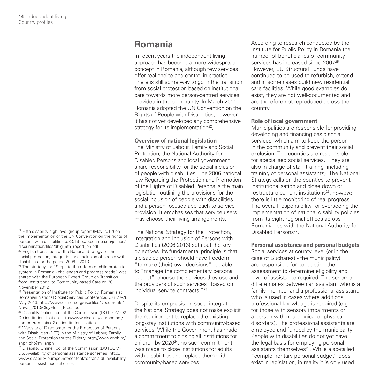### **Romania**

In recent years the independent living approach has become a more widespread concept in Romania, although few services offer real choice and control in practice. There is still some way to go in the transition from social protection based on institutional care towards more person-centred services provided in the community. In March 2011 Romania adopted the UN Convention on the Rights of People with Disabilities; however it has not yet developed any comprehensive strategy for its implementation<sup>22</sup>.

#### **Overview of national legislation**

The Ministry of Labour, Family and Social Protection, the National Authority for Disabled Persons and local government share responsibility for the social inclusion of people with disabilities. The 2006 national law Regarding the Protection and Promotion of the Rights of Disabled Persons is the main legislation outlining the provisions for the social inclusion of people with disabilities and a person-focused approach to service provision. It emphasises that service users may choose their living arrangements.

The National Strategy for the Protection, Integration and Inclusion of Persons with Disabilities (2006-2013) sets out the key objectives. Its fundamental principle is that a disabled person should have freedom "to make (their) own decisions", be able to "manage the complementary personal budget", choose the services they use and the providers of such services "based on individual service contracts."23

Despite its emphasis on social integration. the National Strategy does not make explicit the requirement to replace the existing long-stay institutions with community-based services. While the Government has made a commitment to closing all institutions for children by 2020<sup>24</sup>, no such commitment was made to close institutions for adults with disabilities and replace them with community-based services.

According to research conducted by the Institute for Public Policy in Romania the number of beneficiaries of community services has increased since 2007<sup>25</sup>. However, EU Structural Funds have continued to be used to refurbish, extend and in some cases build new residential care facilities. While good examples do exist, they are not well-documented and are therefore not reproduced across the country.

#### **Role of local government**

Municipalities are responsible for providing, developing and financing basic social services, which aim to keep the person in the community and prevent their social exclusion. The counties are responsible for specialised social services. They are also in charge of staff training (including training of personal assistants). The National Strategy calls on the counties to prevent institutionalisation and close down or restructure current institutions<sup>26</sup>, however there is little monitoring of real progress. The overall responsibility for overseeing the implementation of national disability policies from its eight regional offices across Romania lies with the National Authority for Disabled Persons<sup>27</sup>.

**Personal assistance and personal budgets** Social services at county level (or in the case of Bucharest - the municipality) are responsible for conducting the assessment to determine eligibility and level of assistance required. The scheme differentiates between an assistant who is a family member and a professional assistant, who is used in cases where additional professional knowledge is required (e.g. for those with sensory impairments or a person with neurological or physical disorders). The professional assistants are employed and funded by the municipality. People with disabilities do not yet have the legal basis for employing personal assistants themselves<sup>28</sup>. While a so-called "complementary personal budget" does exist in legislation, in reality it is only used

<sup>22</sup> Fifth disability high level group report (May 2012) on the implementation of the UN Convention on the rights of persons with disabilities p.83. http://ec.europa.eu/justice/ discrimination/files/dhlg\_5th\_report\_en.pdf

<sup>23</sup> English translation of the National Strategy on the social protection, integration and inclusion of people with disabilities for the period 2006 – 2013

<sup>24</sup> The strategy for "Steps to the reform of child protection system in Romania - challenges and progress made" was shared with the European Expert Group on Transition from Institutional to Community-based Care on 20 November 2012

25 Presentation of Institute for Public Policy, Romania at Romanian National Social Services Conference, Cluj 27-28 May 2013. http://www.esn-eu.org/userfiles/Documents/ News\_2013/Cluj/Elena\_Ercus.pdf

26 Disability Online Tool of the Commission (DOTCOM)D2 De-institutionalisation. http://www.disability-europe.net/ content/romania-d2-de-institutionalisation

<sup>27</sup> Website of Directorate for the Protection of Persons with Disabilities (DTT) in the Ministry of Labour, Family and Social Protection for the Elderly. http://www.anph.ro/ anph.php?m=anph

28 Disability Online Tool of the Commission (DOTCOM) D5, Availability of personal assistance schemes. http:// www.disability-europe.net/content/romania-d5-availabilitypersonal-assistance-schemes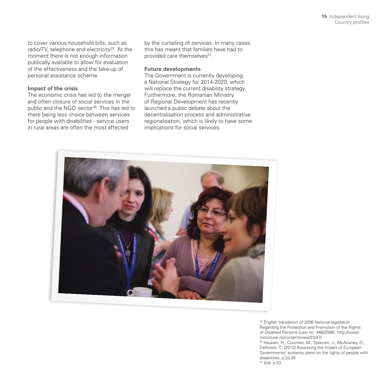to cover various household bills, such as radio/TV, telephone and electricity<sup>29</sup>. At the moment there is not enough information publically available to allow for evaluation of the effectiveness and the take-up of personal assistance scheme.

### **Impact of the crisis**

The economic crisis has led to the merger and often closure of social services in the public and the NGO sector<sup>30</sup>. This has led to there being less choice between services for people with disabilities - service users in rural areas are often the most affected

by the curtailing of services. In many cases this has meant that families have had to provided care themselves31.

### **Future developments**

The Government is currently developing a National Strategy for 2014-2020, which will replace the current disability strategy. Furthermore, the Romanian Ministry of Regional Development has recently launched a public debate about the decentralisation process and administrative regionalisation, which is likely to have some implications for social services.



29 English translation of 2006 National legislation Regarding the Protection and Promotion of the Rights of Disabled Persons (Law no. 448/2006). http://www. incluziune.ro/content/view/23/47/ 30 Hauben, H., Coucheir, M., Spooren, J., McAnaney, D., Delfosse, C. (2012).Assessing the impact of European Governments' austerity plans on the rights of people with disabilities. p.33-35 31 Ibid. p.53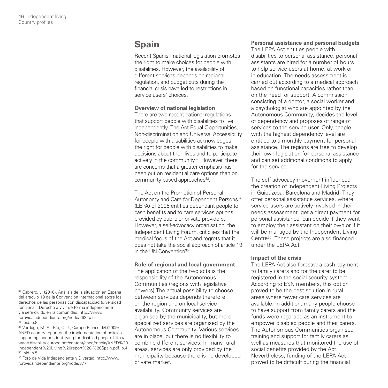### **Spain**

Recent Spanish national legislation promotes the right to make choices for people with disabilities. However, the availability of different services depends on regional regulation, and budget cuts during the financial crisis have led to restrictions in service users' choices.

### **Overview of national legislation**

There are two recent national regulations that support people with disabilities to live independently. The Act Equal Opportunities, Non-discrimination and Universal Accessibility for people with disabilities acknowledges the right for people with disabilities to make decisions about their lives and to participate actively in the community<sup>32</sup>. However, there are concerns that a greater emphasis has been put on residential care options than on community-based approaches<sup>33</sup>.

The Act on the Promotion of Personal Autonomy and Care for Dependent Persons<sup>34</sup> (LEPA) of 2006 entitles dependant people to cash benefits and to care services options provided by public or private providers. However, a self-advocacy organisation, the Independent Living Forum, criticises that the medical focus of the Act and regrets that it does not take the social approach of article 19 in the UN Convention<sup>35</sup>

#### **Role of regional and local government**

The application of the two acts is the responsibility of the Autonomous Communities (regions with legislative powers).The actual possibility to choose between services depends therefore on the region and on local service availability. Community services are organised by the municipality, but more specialized services are organised by the Autonomous Community. Various services are in place, but there is no flexibility to combine different services. In many rural areas, services are only provided by the municipality because there is no developed private market.

### **Personal assistance and personal budgets**

The LEPA Act entitles people with disabilities to personal assistance: personal assistants are hired for a number of hours to help service users at home, at work or in education. The needs assessment is carried out according to a medical approach based on functional capacities rather than on the need for support. A commission consisting of a doctor, a social worker and a psychologist who are appointed by the Autonomous Community, decides the level of dependency and proposes of range of services to the service user. Only people with the highest dependency level are entitled to a monthly payment for personal assistance. The regions are free to develop their own legislation for personal assistance and can set additional conditions to apply for the service.

The self-advocacy movement influenced the creation of Independent Living Projects in Guipúzcoa, Barcelona and Madrid. They offer personal assistance services, where service users are actively involved in their needs assessment, get a direct payment for personal assistance, can decide if they want to employ their assistant on their own or if it will be managed by the Independent Living Centre36. These projects are also financed under the LEPA Act.

### **Impact of the crisis**

The LEPA Act also foresaw a cash payment to family carers and for the carer to be registered in the social security system. According to ESN members, this option proved to be the best solution in rural areas where fewer care services are available. In addition, many people choose to have support from family carers and the funds were regarded as an instrument to empower disabled people and their carers. The Autonomous Communities organised training and support for family carers as well as measures that monitored the use of social benefits provided by the Act. Nevertheless, funding of the LEPA Act proved to be difficult during the financial

32 Cabrero, J. (2010). Análisis de la situación en España del artículo 19 de la Convención internacional sobre los derechos de las personas con discapacidad (diversidad funcional): Derecho a vivir de forma independiente y a serincluido en la comunidad. http://www. forovidaindependiente.org/node/262. p.5 33 Ibid. p.8

34 Verdugo, M. Á., Río, C. J., Campo Blanco, M.(2009) ANED country report on the implementation of policies supporting independent living for disabled people. http:// www.disability-europe.net/content/aned/media/ANED%20 Independent%20Living%20report%20-%20Spain.pdf. p.4 35 Ibid. p.5

36 Foro de Vida Independiente y Divertad. http://www. forovidaindependiente.org/node/377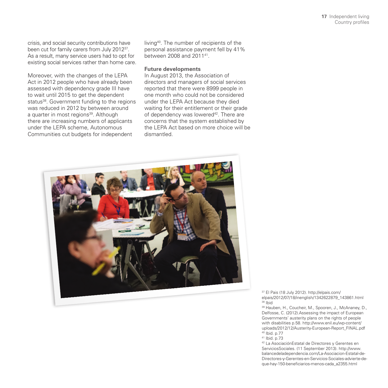crisis, and social security contributions have been cut for family carers from July 201237. As a result, many service users had to opt for existing social services rather than home care.

Moreover, with the changes of the LEPA Act in 2012 people who have already been assessed with dependency grade III have to wait until 2015 to get the dependent status<sup>38</sup>. Government funding to the regions was reduced in 2012 by between around a quarter in most regions<sup>39</sup>. Although there are increasing numbers of applicants under the LEPA scheme, Autonomous Communities cut budgets for independent

living40. The number of recipients of the personal assistance payment fell by 41% between 2008 and 201141.

#### **Future developments**

In August 2013, the Association of directors and managers of social services reported that there were 8999 people in one month who could not be considered under the LEPA Act because they died waiting for their entitlement or their grade of dependency was lowered<sup>42</sup>. There are concerns that the system established by the LEPA Act based on more choice will be dismantled.



37 El Pais (18 July 2012). http://elpais.com/ elpais/2012/07/18/inenglish/1342622879\_143861.html 38 Ibid

39 Hauben, H., Coucheir, M., Spooren, J., McAnaney, D., Delfosse, C. (2012).Assessing the impact of European Governments' austerity plans on the rights of people with disabilities p.58. http://www.enil.eu/wp-content/ uploads/2012/12/Austerity-European-Report\_FINAL.pdf 40 Ibid. p.77

41 Ibid. p.73

42 La AsociaciónEstatal de Directores y Gerentes en ServiciosSociales. (11 September 2013). http://www. balancedeladependencia.com/La-Asociacion-Estatal-de-Directores-y-Gerentes-en-Servicios-Sociales-advierte-deque-hay-150-beneficiarios-menos-cada\_a2355.html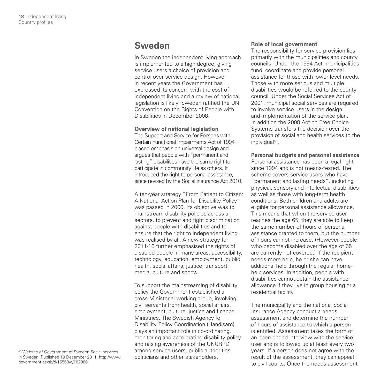### **Sweden**

In Sweden the independent living approach is implemented to a high degree, giving service users a choice of provision and control over service design. However in recent years the Government has expressed its concern with the cost of independent living and a review of national legislation is likely. Sweden ratified the UN Convention on the Rights of People with Disabilities in December 2008.

### **Overview of national legislation**

The Support and Service for Persons with Certain Functional Impairments Act of 1994 placed emphasis on universal design and argues that people with "permanent and lasting" disabilities have the same right to participate in community life as others. It introduced the right to personal assistance. since revised by the Social insurance Act 2010.

A ten-year strategy "From Patient to Citizen: A National Action Plan for Disability Policy" was passed in 2000. Its objective was to mainstream disability policies across all sectors, to prevent and fight discrimination against people with disabilities and to ensure that the right to independent living was realised by all. A new strategy for 2011-16 further emphasised the rights of disabled people in many areas: accessibility, technology, education, employment, public health, social affairs, justice, transport, media, culture and sports.

To support the mainstreaming of disability policy the Government established a cross-Ministerial working group, involving civil servants from health, social affairs, employment, culture, justice and finance Ministries. The Swedish Agency for Disability Policy Coordination (Handisam) plays an important role in co-ordinating, monitoring and accelerating disability policy and raising awareness of the UNCRPD among service users, public authorities, politicians and other stakeholders.

### **Role of local government**

The responsibility for service provision lies primarily with the municipalities and county councils. Under the 1994 Act, municipalities fund, coordinate and provide personal assistance for those with lower level needs. Those with more serious and multiple disabilities would be referred to the county council. Under the Social Services Act of 2001, municipal social services are required to involve service users in the design and implementation of the service plan. In addition the 2008 Act on Free Choice Systems transfers the decision over the provision of social and health services to the individual43.

**Personal budgets and personal assistance** Personal assistance has been a legal right since 1994 and is not means-tested. The scheme covers service users who have "permanent and lasting needs", including physical, sensory and intellectual disabilities as well as those with long-term health conditions. Both children and adults are eligible for personal assistance allowance. This means that when the service user reaches the age 65, they are able to keep the same number of hours of personal assistance granted to them, but the number of hours cannot increase. (However people who become disabled over the age of 65 are currently not covered.) If the recipient needs more help, he or she can have additional help through the regular homehelp services. In addition, people with disabilities cannot obtain the assistance allowance if they live in group housing or a residential facility.

The municipality and the national Social Insurance Agency conduct a needs assessment and determine the number of hours of assistance to which a person is entitled. Assessment takes the form of an open-ended interview with the service user and is followed up at least every two years. If a person does not agree with the result of the assessment, they can appeal to civil courts. Once the needs assessment

43 Website of Government of Sweden.Social services in Sweden. Published 19 December 2011. http://www. government.se/sb/d/15568/a/182986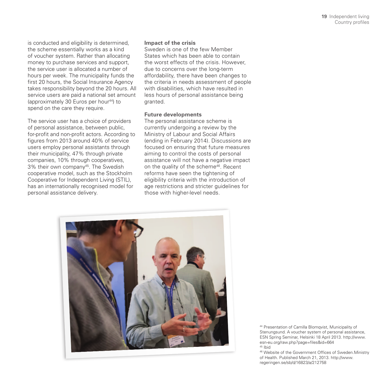is conducted and eligibility is determined, the scheme essentially works as a kind of voucher system. Rather than allocating money to purchase services and support, the service user is allocated a number of hours per week. The municipality funds the first 20 hours, the Social Insurance Agency takes responsibility beyond the 20 hours. All service users are paid a national set amount (approximately 30 Euros per hour44) to spend on the care they require.

The service user has a choice of providers of personal assistance, between public, for-profit and non-profit actors. According to figures from 2013 around 40% of service users employ personal assistants through their municipality, 47% through private companies, 10% through cooperatives, 3% their own company45. The Swedish cooperative model, such as the Stockholm Cooperative for Independent Living (STIL), has an internationally recognised model for personal assistance delivery.

### **Impact of the crisis**

Sweden is one of the few Member States which has been able to contain the worst effects of the crisis. However, due to concerns over the long-term affordability, there have been changes to the criteria in needs assessment of people with disabilities, which have resulted in less hours of personal assistance being granted.

### **Future developments**

The personal assistance scheme is currently undergoing a review by the Ministry of Labour and Social Affairs (ending in February 2014). Discussions are focused on ensuring that future measures aiming to control the costs of personal assistance will not have a negative impact on the quality of the scheme<sup>46</sup>. Recent reforms have seen the tightening of eligibility criteria with the introduction of age restrictions and stricter guidelines for those with higher-level needs.



44 Presentation of Camilla Blomqvist, Municipality of Stenungsund. A voucher system of personal assistance, ESN Spring Seminar, Helsinki 18 April 2013. http://www. esn-eu.org/raw.php?page=files&id=664 45 Ibid

46 Website of the Government Offices of Sweden.Ministry of Health. Published March 21, 2013. http://www. regeringen.se/sb/d/16823/a/212758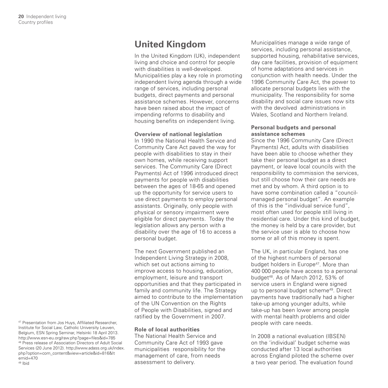### **United Kingdom**

In the United Kingdom (UK), independent living and choice and control for people with disabilities is well-developed. Municipalities play a key role in promoting independent living agenda through a wide range of services, including personal budgets, direct payments and personal assistance schemes. However, concerns have been raised about the impact of impending reforms to disability and housing benefits on independent living.

### **Overview of national legislation**

In 1990 the National Health Service and Community Care Act paved the way for people with disabilities to stay in their own homes, while receiving support services. The Community Care (Direct Payments) Act of 1996 introduced direct payments for people with disabilities between the ages of 18-65 and opened up the opportunity for service users to use direct payments to employ personal assistants. Originally, only people with physical or sensory impairment were eligible for direct payments. Today the legislation allows any person with a disability over the age of 16 to access a personal budget.

The next Government published an Independent Living Strategy in 2008, which set out actions aiming to improve access to housing, education, employment, leisure and transport opportunities and that they participated in family and community life. The Strategy aimed to contribute to the implementation of the UN Convention on the Rights of People with Disabilities, signed and ratified by the Government in 2007.

### **Role of local authorities**

The National Health Service and Community Care Act of 1993 gave municipalities responsibility for the management of care, from needs assessment to delivery.

Municipalities manage a wide range of services, including personal assistance, supported housing, rehabilitative services, day care facilities, provision of equipment of home adaptations and services in conjunction with health needs. Under the 1996 Community Care Act, the power to allocate personal budgets lies with the municipality. The responsibility for some disability and social care issues now sits with the devolved administrations in Wales, Scotland and Northern Ireland.

### **Personal budgets and personal assistance schemes**

Since the 1996 Community Care (Direct Payments) Act, adults with disabilities have been able to choose whether they take their personal budget as a direct payment, or leave local councils with the responsibility to commission the services, but still choose how their care needs are met and by whom. A third option is to have some combination called a "councilmanaged personal budget". An example of this is the "individual service fund", most often used for people still living in residential care. Under this kind of budget, the money is held by a care provider, but the service user is able to choose how some or all of this money is spent.

The UK, in particular England, has one of the highest numbers of personal budget holders in Europe<sup>47</sup>. More than 400 000 people have access to a personal budget<sup>48</sup>. As of March 2012, 53% of service users in England were signed up to personal budget scheme49. Direct payments have traditionally had a higher take-up among younger adults, while take-up has been lower among people with mental health problems and older people with care needs.

In 2008 a national evaluation (IBSEN) on the 'individual' budget scheme was conducted after 13 local authorities across England piloted the scheme over a two year period. The evaluation found

<sup>47</sup> Presentation from Jos Huys, Affiliated Researcher, Institute for Social Law, Catholic University Leuven, Belgium, ESN Spring Seminar, Helsinki 18 April 2013. http://www.esn-eu.org/raw.php?page=files&id=785 48 Press release of Association Directors of Adult Social Services (20 June 2012). http://www.adass.org.uk/index. php?option=com\_content&view=article&id=816&It emid=470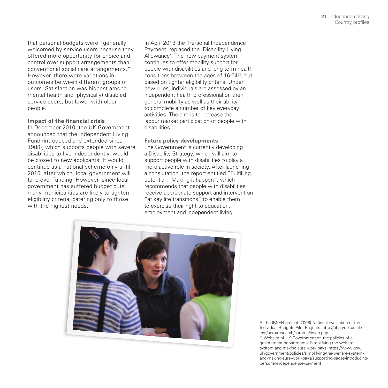that personal budgets were "generally welcomed by service users because they offered more opportunity for choice and control over support arrangements than conventional social care arrangements."50 However, there were variations in outcomes between different groups of users. Satisfaction was highest among mental health and (physically) disabled service users, but lower with older people.

### **Impact of the financial crisis**

In December 2010, the UK Government announced that the Independent Living Fund (introduced and extended since 1988), which supports people with severe disabilities to live independently, would be closed to new applicants. It would continue as a national scheme only until 2015, after which, local government will take over funding. However, since local government has suffered budget cuts, many municipalities are likely to tighten eligibility criteria, catering only to those with the highest needs.

In April 2013 the 'Personal Independence Payment' replaced the 'Disability Living Allowance'. The new payment system continues to offer mobility support for people with disabilities and long-term health conditions between the ages of 16-64<sup>51</sup>, but based on tighter eligibility criteria. Under new rules, individuals are assessed by an independent health professional on their general mobility as well as their ability to complete a number of key everyday activities. The aim is to increase the labour market participation of people with disabilities.

#### **Future policy developments**

The Government is currently developing a Disability Strategy, which will aim to support people with disabilities to play a more active role in society. After launching a consultation, the report entitled "Fulfilling potential – Making it happen", which recommends that people with disabilities receive appropriate support and intervention "at key life transitions" to enable them to exercise their right to education. employment and independent living.



50 The IBSEN project (2008) National evaluation of the Individual Budgets Pilot Projects. http://php.york.ac.uk/ inst/spru/research/summs/ibsen.php

51 Website of UK Government on the policies of all government departments. Simplifying the welfare system and making sure work pays. https://www.gov. uk/government/policies/simplifying-the-welfare-systemand-making-sure-work-pays/supporting-pages/introducingpersonal-independence-payment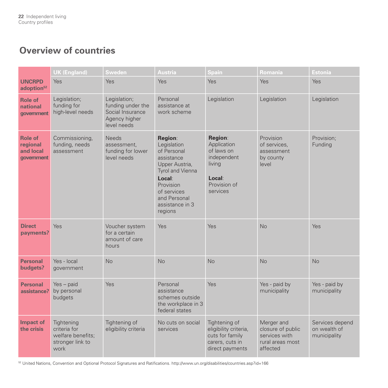### **Overview of countries**

|                                                       | <b>UK (England)</b>                                                         | <b>Sweden</b>                                                                         | <b>Austria</b>                                                                                                                                                                | <b>Spain</b>                                                                                        | <b>Romania</b>                                                                   | Estonia                                         |
|-------------------------------------------------------|-----------------------------------------------------------------------------|---------------------------------------------------------------------------------------|-------------------------------------------------------------------------------------------------------------------------------------------------------------------------------|-----------------------------------------------------------------------------------------------------|----------------------------------------------------------------------------------|-------------------------------------------------|
| <b>UNCRPD</b><br>adoption <sup>52</sup>               | <b>Yes</b>                                                                  | Yes                                                                                   | Yes                                                                                                                                                                           | <b>Yes</b>                                                                                          | Yes                                                                              | Yes                                             |
| <b>Role of</b><br>national<br>government              | Legislation;<br>funding for<br>high-level needs                             | Legislation;<br>funding under the<br>Social Insurance<br>Agency higher<br>level needs | Personal<br>assistance at<br>work scheme                                                                                                                                      | Legislation                                                                                         | Legislation                                                                      | Legislation                                     |
| <b>Role of</b><br>regional<br>and local<br>government | Commissioning,<br>funding, needs<br>assessment                              | <b>Needs</b><br>assessment,<br>funding for lower<br>level needs                       | Region:<br>Legislation<br>of Personal<br>assistance<br>Upper Austria,<br>Tyrol and Vienna<br>Local:<br>Provision<br>of services<br>and Personal<br>assistance in 3<br>regions | Region:<br>Application<br>of laws on<br>independent<br>living<br>Local:<br>Provision of<br>services | Provision<br>of services,<br>assessment<br>by county<br>level                    | Provision:<br>Funding                           |
| <b>Direct</b><br>payments?                            | Yes                                                                         | Voucher system<br>for a certain<br>amount of care<br>hours                            | Yes                                                                                                                                                                           | Yes                                                                                                 | No                                                                               | Yes                                             |
| <b>Personal</b><br>budgets?                           | Yes - local<br>government                                                   | <b>No</b>                                                                             | <b>No</b>                                                                                                                                                                     | No                                                                                                  | <b>No</b>                                                                        | <b>No</b>                                       |
| <b>Personal</b><br>assistance?                        | $Yes - paid$<br>by personal<br>budgets                                      | Yes                                                                                   | Personal<br>assistance<br>schemes outside<br>the workplace in 3<br>federal states                                                                                             | Yes                                                                                                 | Yes - paid by<br>municipality                                                    | Yes - paid by<br>municipality                   |
| <b>Impact of</b><br>the crisis                        | Tightening<br>criteria for<br>welfare benefits;<br>stronger link to<br>work | Tightening of<br>eligibility criteria                                                 | No cuts on social<br>services                                                                                                                                                 | Tightening of<br>eligibility criteria,<br>cuts for family<br>carers, cuts in<br>direct payments     | Merger and<br>closure of public<br>services with<br>rural areas most<br>affected | Services depend<br>on wealth of<br>municipality |

52 United Nations, Convention and Optional Protocol Signatures and Ratifications. http://www.un.org/disabilities/countries.asp?id=166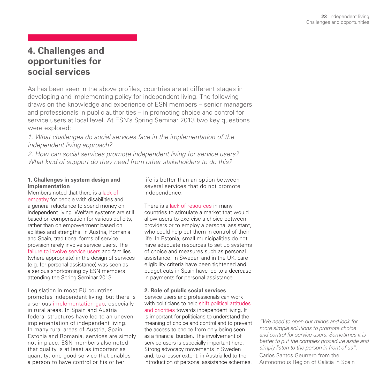### **4. Challenges and opportunities for social services**

As has been seen in the above profiles, countries are at different stages in developing and implementing policy for independent living. The following draws on the knowledge and experience of ESN members – senior managers and professionals in public authorities – in promoting choice and control for service users at local level. At ESN's Spring Seminar 2013 two key questions were explored:

*1. What challenges do social services face in the implementation of the independent living approach?*

*2. How can social services promote independent living for service users? What kind of support do they need from other stakeholders to do this?*

### **1. Challenges in system design and implementation**

Members noted that there is a lack of empathy for people with disabilities and a general reluctance to spend money on independent living. Welfare systems are still based on compensation for various deficits, rather than on empowerment based on abilities and strengths. In Austria, Romania and Spain, traditional forms of service provision rarely involve service users. The failure to involve service users and families (where appropriate) in the design of services (e.g. for personal assistance) was seen as a serious shortcoming by ESN members attending the Spring Seminar 2013.

Legislation in most EU countries promotes independent living, but there is a serious implementation gap, especially in rural areas. In Spain and Austria federal structures have led to an uneven implementation of independent living. In many rural areas of Austria, Spain, Estonia and Romania, services are simply not in place. ESN members also noted that quality is at least as important as quantity: one good service that enables a person to have control or his or her

life is better than an option between several services that do not promote independence.

There is a lack of resources in many countries to stimulate a market that would allow users to exercise a choice between providers or to employ a personal assistant, who could help put them in control of their life. In Estonia, small municipalities do not have adequate resources to set up systems of choice and measures such as personal assistance. In Sweden and in the UK, care eligibility criteria have been tightened and budget cuts in Spain have led to a decrease in payments for personal assistance.

### **2. Role of public social services**

Service users and professionals can work with politicians to help shift political attitudes and priorities towards independent living. It is important for politicians to understand the meaning of choice and control and to prevent the access to choice from only being seen as a financial burden. The involvement of service users is especially important here. Strong advocacy movements in Sweden and, to a lesser extent, in Austria led to the introduction of personal assistance schemes.

*"We need to open our minds and look for more simple solutions to promote choice and control for service users. Sometimes it is better to put the complex procedure aside and simply listen to the person in front of us".*  Carlos Santos Geurrero from the Autonomous Region of Galicia in Spain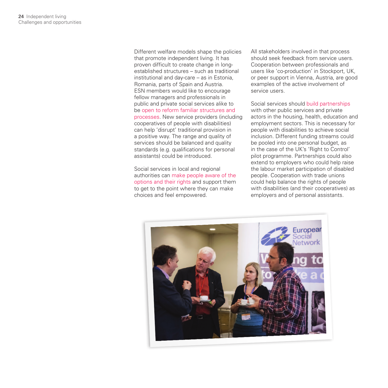Different welfare models shape the policies that promote independent living. It has proven difficult to create change in longestablished structures – such as traditional institutional and day-care – as in Estonia, Romania, parts of Spain and Austria. ESN members would like to encourage fellow managers and professionals in public and private social services alike to be open to reform familiar structures and processes. New service providers (including cooperatives of people with disabilities) can help 'disrupt' traditional provision in a positive way. The range and quality of services should be balanced and quality standards (e.g. qualifications for personal assistants) could be introduced.

Social services in local and regional authorities can make people aware of the options and their rights and support them to get to the point where they can make choices and feel empowered.

All stakeholders involved in that process should seek feedback from service users. Cooperation between professionals and users like 'co-production' in Stockport, UK, or peer support in Vienna, Austria, are good examples of the active involvement of service users.

Social services should build partnerships with other public services and private actors in the housing, health, education and employment sectors. This is necessary for people with disabilities to achieve social inclusion. Different funding streams could be pooled into one personal budget, as in the case of the UK's 'Right to Control' pilot programme. Partnerships could also extend to employers who could help raise the labour market participation of disabled people. Cooperation with trade unions could help balance the rights of people with disabilities (and their cooperatives) as employers and of personal assistants.

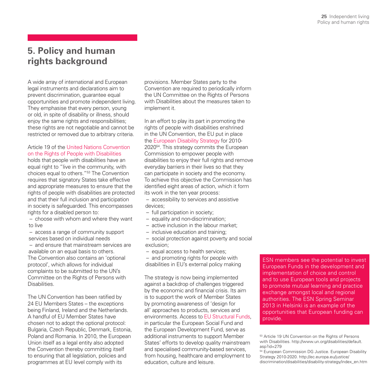### **5. Policy and human rights background**

A wide array of international and European legal instruments and declarations aim to prevent discrimination, guarantee equal opportunities and promote independent living. They emphasise that every person, young or old, in spite of disability or illness, should enjoy the same rights and responsibilities; these rights are not negotiable and cannot be restricted or removed due to arbitrary criteria.

### Article 19 of the United Nations Convention on the Rights of People with Disabilities

holds that people with disabilities have an equal right to "live in the community, with choices equal to others."53 The Convention requires that signatory States take effective and appropriate measures to ensure that the rights of people with disabilities are protected and that their full inclusion and participation in society is safeguarded. This encompasses rights for a disabled person to:

– choose with whom and where they want to live

– access a range of community support services based on individual needs

– and ensure that mainstream services are available on an equal basis to others. The Convention also contains an 'optional protocol', which allows for individual complaints to be submitted to the UN's Committee on the Rights of Persons with **Disabilities** 

The UN Convention has been ratified by 24 EU Members States – the exceptions being Finland, Ireland and the Netherlands. A handful of EU Member States have chosen not to adopt the optional protocol: Bulgaria, Czech Republic, Denmark, Estonia, Poland and Romania. In 2010, the European Union itself as a legal entity also adopted the Convention thereby committing itself to ensuring that all legislation, policies and programmes at EU level comply with its

provisions. Member States party to the Convention are required to periodically inform the UN Committee on the Rights of Persons with Disabilities about the measures taken to implement it.

In an effort to play its part in promoting the rights of people with disabilities enshrined in the UN Convention, the EU put in place the European Disability Strategy for 2010- 202054. This strategy commits the European Commission to empower people with disabilities to enjoy their full rights and remove everyday barriers in their lives so that they can participate in society and the economy. To achieve this objective the Commission has identified eight areas of action, which it form its work in the ten year process:

– accessibility to services and assistive devices;

- full participation in society;
- equality and non-discrimination;
- active inclusion in the labour market;
- inclusive education and training;

– social protection against poverty and social exclusion;

– equal access to health services;

– and promoting rights for people with disabilities in EU's external policy making

The strategy is now being implemented against a backdrop of challenges triggered by the economic and financial crisis. Its aim is to support the work of Member States by promoting awareness of 'design for all' approaches to products, services and environments. Access to EU Structural Funds, in particular the European Social Fund and the European Development Fund, serve as additional instruments to support Member States' efforts to develop quality mainstream and specialised community-based services, from housing, healthcare and employment to education, culture and leisure.

ESN members see the potential to invest European Funds in the development and implementation of choice and control and to use European tools and projects to promote mutual learning and practice exchange amongst local and regional authorities. The ESN Spring Seminar 2013 in Helsinki is an example of the opportunities that European funding can provide.

53 Article 19 UN Convention on the Rights of Persons with Disabilities. http://www.un.org/disabilities/default.  $asn?id=279$ 

54 European Commission DG Justice. European Disability Strategy 2010-2020. http://ec.europa.eu/justice/ discrimination/disabilities/disability-strategy/index\_en.htm